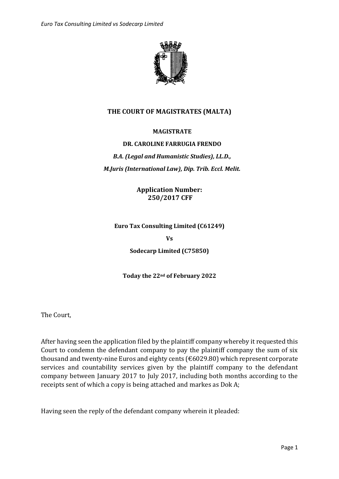

# **THE COURT OF MAGISTRATES (MALTA)**

#### **MAGISTRATE**

#### **DR. CAROLINE FARRUGIA FRENDO**

# *B.A. (Legal and Humanistic Studies), LL.D., M.Juris (International Law), Dip. Trib. Eccl. Melit.*

**Application Number: 250/2017 CFF**

**Euro Tax Consulting Limited (C61249)**

**Vs**

**Sodecarp Limited (C75850)**

**Today the 22nd of February 2022**

The Court,

After having seen the application filed by the plaintiff company whereby it requested this Court to condemn the defendant company to pay the plaintiff company the sum of six thousand and twenty-nine Euros and eighty cents (€6029.80) which represent corporate services and countability services given by the plaintiff company to the defendant company between January 2017 to July 2017, including both months according to the receipts sent of which a copy is being attached and markes as Dok A;

Having seen the reply of the defendant company wherein it pleaded: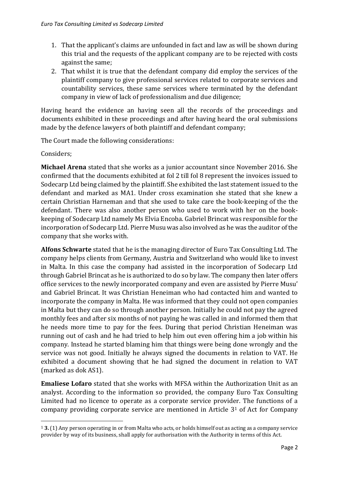- 1. That the applicant's claims are unfounded in fact and law as will be shown during this trial and the requests of the applicant company are to be rejected with costs against the same;
- 2. That whilst it is true that the defendant company did employ the services of the plaintiff company to give professional services related to corporate services and countability services, these same services where terminated by the defendant company in view of lack of professionalism and due diligence;

Having heard the evidence an having seen all the records of the proceedings and documents exhibited in these proceedings and after having heard the oral submissions made by the defence lawyers of both plaintiff and defendant company;

The Court made the following considerations:

Considers;

**Michael Arena** stated that she works as a junior accountant since November 2016. She confirmed that the documents exhibited at fol 2 till fol 8 represent the invoices issued to Sodecarp Ltd being claimed by the plaintiff. She exhibited the last statement issued to the defendant and marked as MA1. Under cross examination she stated that she knew a certain Christian Harneman and that she used to take care the book-keeping of the the defendant. There was also another person who used to work with her on the bookkeeping of Sodecarp Ltd namely Ms Elvia Encoba. Gabriel Brincat was responsible for the incorporation of Sodecarp Ltd. Pierre Musu was also involved as he was the auditor of the company that she works with.

**Alfons Schwarte** stated that he is the managing director of Euro Tax Consulting Ltd. The company helps clients from Germany, Austria and Switzerland who would like to invest in Malta. In this case the company had assisted in the incorporation of Sodecarp Ltd through Gabriel Brincat as he is authorized to do so by law. The company then later offers office services to the newly incorporated company and even are assisted by Pierre Musu' and Gabriel Brincat. It was Christian Heneiman who had contacted him and wanted to incorporate the company in Malta. He was informed that they could not open companies in Malta but they can do so through another person. Initially he could not pay the agreed monthly fees and after six months of not paying he was called in and informed them that he needs more time to pay for the fees. During that period Christian Heneiman was running out of cash and he had tried to help him out even offering him a job within his company. Instead he started blaming him that things were being done wrongly and the service was not good. Initially he always signed the documents in relation to VAT. He exhibited a document showing that he had signed the document in relation to VAT (marked as dok AS1).

**Emaliese Lofaro** stated that she works with MFSA within the Authorization Unit as an analyst. According to the information so provided, the company Euro Tax Consulting Limited had no licence to operate as a corporate service provider. The functions of a company providing corporate service are mentioned in Article 3<sup>1</sup> of Act for Company

<sup>1</sup> **3.** (1) Any person operating in or from Malta who acts, or holds himself out as acting as a company service provider by way of its business, shall apply for authorisation with the Authority in terms of this Act.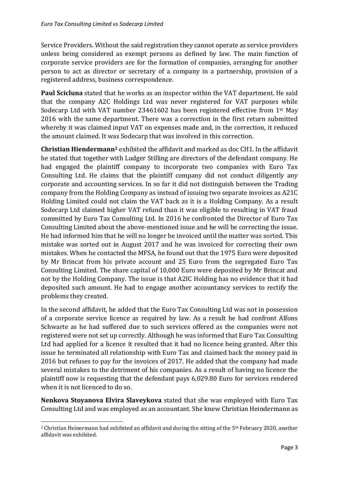Service Providers. Without the said registration they cannot operate as service providers unless being considered as exempt persons as defined by law. The main function of corporate service providers are for the formation of companies, arranging for another person to act as director or secretary of a company in a partnership, provision of a registered address, business correspondence.

**Paul Scicluna** stated that he works as an inspector within the VAT department. He said that the company A2C Holdings Ltd was never registered for VAT purposes while Sodecarp Ltd with VAT number 23461602 has been registered effective from 1st May 2016 with the same department. There was a correction in the first return submitted whereby it was claimed input VAT on expenses made and, in the correction, it reduced the amount claimed. It was Sodecarp that was involved in this correction.

**Christian Hiendermann<sup>2</sup>** exhibited the affidavit and marked as doc CH1. In the affidavit he stated that together with Ludger Stilling are directors of the defendant company. He had engaged the plaintiff company to incorporate two companies with Euro Tax Consulting Ltd. He claims that the plaintiff company did not conduct diligently any corporate and accounting services. In so far it did not distinguish between the Trading company from the Holding Company as instead of issuing two separate invoices as A21C Holding Limited could not claim the VAT back as it is a Holding Company. As a result Sodecarp Ltd claimed higher VAT refund than it was eligible to resulting in VAT fraud committed by Euro Tax Consulting Ltd. In 2016 he confronted the Director of Euro Tax Consulting Limited about the above-mentioned issue and he will be correcting the issue. He had informed him that he will no longer be invoiced until the matter was sorted. This mistake was sorted out in August 2017 and he was invoiced for correcting their own mistakes. When he contacted the MFSA, he found out that the 1975 Euro were deposited by Mr Brincat from his private account and 25 Euro from the segregated Euro Tax Consulting Limited. The share capital of 10,000 Euro were deposited by Mr Brincat and not by the Holding Company. The issue is that A2IC Holding has no evidence that it had deposited such amount. He had to engage another accountancy services to rectify the problems they created.

In the second affidavit, he added that the Euro Tax Consulting Ltd was not in possession of a corporate service licence as required by law. As a result he had confront Alfons Schwarte as he had suffered due to such services offered as the companies were not registered were not set up correctly. Although he was informed that Euro Tax Consulting Ltd had applied for a licence it resulted that it had no licence being granted. After this issue he terminated all relationship with Euro Tax and claimed back the money paid in 2016 but refuses to pay for the invoices of 2017. He added that the company had made several mistakes to the detriment of his companies. As a result of having no licence the plaintiff now is requesting that the defendant pays 6,029.80 Euro for services rendered when it is not licenced to do so.

**Nenkova Stoyanova Elvira Slaveykova** stated that she was employed with Euro Tax Consulting Ltd and was employed as an accountant. She knew Christian Heindermann as

<sup>&</sup>lt;sup>2</sup> Christian Heinermann had exhibited an affidavit and during the sitting of the  $5<sup>th</sup>$  February 2020, another affidavit was exhibited.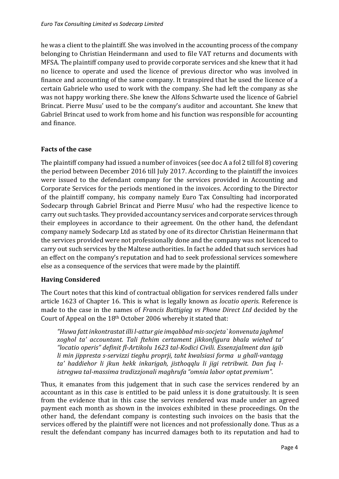he was a client to the plaintiff. She was involved in the accounting process of the company belonging to Christian Heindermann and used to file VAT returns and documents with MFSA. The plaintiff company used to provide corporate services and she knew that it had no licence to operate and used the licence of previous director who was involved in finance and accounting of the same company. It transpired that he used the licence of a certain Gabriele who used to work with the company. She had left the company as she was not happy working there. She knew the Alfons Schwarte used the licence of Gabriel Brincat. Pierre Musu' used to be the company's auditor and accountant. She knew that Gabriel Brincat used to work from home and his function was responsible for accounting and finance.

### **Facts of the case**

The plaintiff company had issued a number of invoices (see doc A a fol 2 till fol 8) covering the period between December 2016 till July 2017. According to the plaintiff the invoices were issued to the defendant company for the services provided in Accounting and Corporate Services for the periods mentioned in the invoices. According to the Director of the plaintiff company, his company namely Euro Tax Consulting had incorporated Sodecarp through Gabriel Brincat and Pierre Musu' who had the respective licence to carry out such tasks. They provided accountancy services and corporate services through their employees in accordance to their agreement. On the other hand, the defendant company namely Sodecarp Ltd as stated by one of its director Christian Heinermann that the services provided were not professionally done and the company was not licenced to carry out such services by the Maltese authorities. In fact he added that such services had an effect on the company's reputation and had to seek professional services somewhere else as a consequence of the services that were made by the plaintiff.

#### **Having Considered**

The Court notes that this kind of contractual obligation for services rendered falls under article 1623 of Chapter 16. This is what is legally known as *locatio operis*. Reference is made to the case in the names of *Francis Buttigieg vs Phone Direct Ltd* decided by the Court of Appeal on the 18th October 2006 whereby it stated that:

*"Huwa fatt inkontrastat illi l-attur gie imqabbad mis-socjeta` konvenuta jaghmel xoghol ta' accountant. Tali ftehim certament jikkonfigura bhala wiehed ta' "locatio operis" definit fl-Artikolu 1623 tal-Kodici Civili. Essenzjalment dan igib li min jippresta s-servizzi tieghu proprji, taht kwalsiasi forma u ghall-vantagg ta' haddiehor li jkun hekk inkarigah, jisthoqqlu li jigi retribwit. Dan fuq listregwa tal-massima tradizzjonali maghrufa "omnia labor optat premium".* 

Thus, it emanates from this judgement that in such case the services rendered by an accountant as in this case is entitled to be paid unless it is done gratuitously. It is seen from the evidence that in this case the services rendered was made under an agreed payment each month as shown in the invoices exhibited in these proceedings. On the other hand, the defendant company is contesting such invoices on the basis that the services offered by the plaintiff were not licences and not professionally done. Thus as a result the defendant company has incurred damages both to its reputation and had to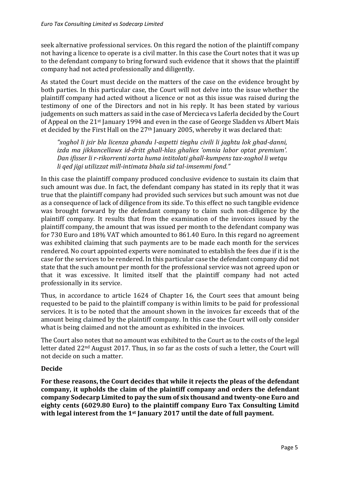seek alternative professional services. On this regard the notion of the plaintiff company not having a licence to operate is a civil matter. In this case the Court notes that it was up to the defendant company to bring forward such evidence that it shows that the plaintiff company had not acted professionally and diligently.

As stated the Court must decide on the matters of the case on the evidence brought by both parties. In this particular case, the Court will not delve into the issue whether the plaintiff company had acted without a licence or not as this issue was raised during the testimony of one of the Directors and not in his reply. It has been stated by various judgements on such matters as said in the case of Mercieca vs Laferla decided by the Court of Appeal on the 21st January 1994 and even in the case of George Sladden vs Albert Mais et decided by the First Hall on the 27th January 2005, whereby it was declared that:

*"xoghol li jsir bla licenza ghandu l-aspetti tieghu civili li jaghtu lok ghad-danni, izda ma jikkancellawx id-dritt ghall-hlas ghaliex 'omnia labor optat premium'. Dan ifisser li r-rikorrenti xorta huma intitolati ghall-kumpens tax-xoghol li wetqu li qed jigi utilizzat mill-intimata bhala sid tal-imsemmi fond."*

In this case the plaintiff company produced conclusive evidence to sustain its claim that such amount was due. In fact, the defendant company has stated in its reply that it was true that the plaintiff company had provided such services but such amount was not due as a consequence of lack of diligence from its side. To this effect no such tangible evidence was brought forward by the defendant company to claim such non-diligence by the plaintiff company. It results that from the examination of the invoices issued by the plaintiff company, the amount that was issued per month to the defendant company was for 730 Euro and 18% VAT which amounted to 861.40 Euro. In this regard no agreement was exhibited claiming that such payments are to be made each month for the services rendered. No court appointed experts were nominated to establish the fees due if it is the case for the services to be rendered. In this particular case the defendant company did not state that the such amount per month for the professional service was not agreed upon or that it was excessive. It limited itself that the plaintiff company had not acted professionally in its service.

Thus, in accordance to article 1624 of Chapter 16, the Court sees that amount being requested to be paid to the plaintiff company is within limits to be paid for professional services. It is to be noted that the amount shown in the invoices far exceeds that of the amount being claimed by the plaintiff company. In this case the Court will only consider what is being claimed and not the amount as exhibited in the invoices.

The Court also notes that no amount was exhibited to the Court as to the costs of the legal letter dated 22nd August 2017. Thus, in so far as the costs of such a letter, the Court will not decide on such a matter.

# **Decide**

**For these reasons, the Court decides that while it rejects the pleas of the defendant company, it upholds the claim of the plaintiff company and orders the defendant company Sodecarp Limited to pay the sum of six thousand and twenty-one Euro and eighty cents (6029.80 Euro) to the plaintiff company Euro Tax Consulting Limitd with legal interest from the 1st January 2017 until the date of full payment.**